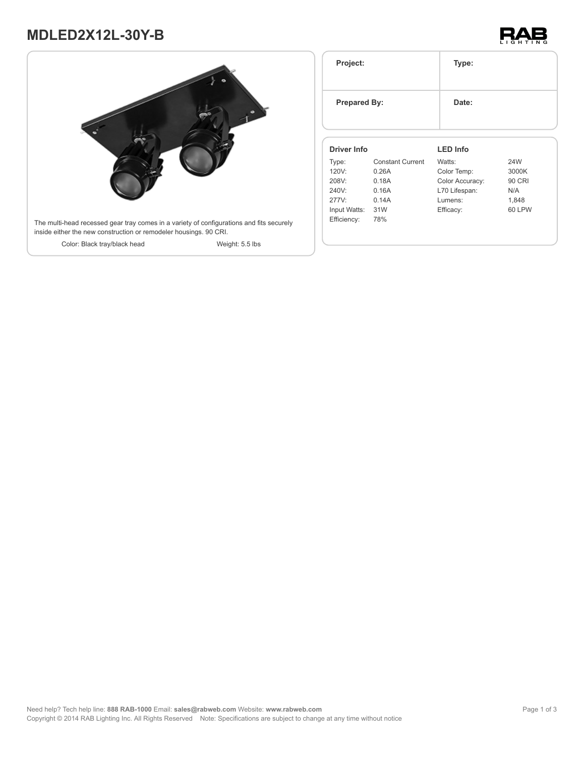# **MDLED2X12L-30Y-B**





| Project:<br><b>Prepared By:</b> |                         | Type:           |               |
|---------------------------------|-------------------------|-----------------|---------------|
|                                 |                         | Date:           |               |
| <b>Driver Info</b>              |                         | <b>LED Info</b> |               |
| Type:                           | <b>Constant Current</b> | Watts:          | 24W           |
| 120V:                           | 0.26A                   | Color Temp:     | 3000K         |
| 208V:                           | 0.18A                   | Color Accuracy: | <b>90 CRI</b> |
| 240V:                           | 0.16A                   | L70 Lifespan:   | N/A           |
| 277V:                           | 0.14A                   | Lumens:         | 1,848         |
|                                 |                         | Efficacy:       | 60 LPW        |
| Input Watts:                    | 31W                     |                 |               |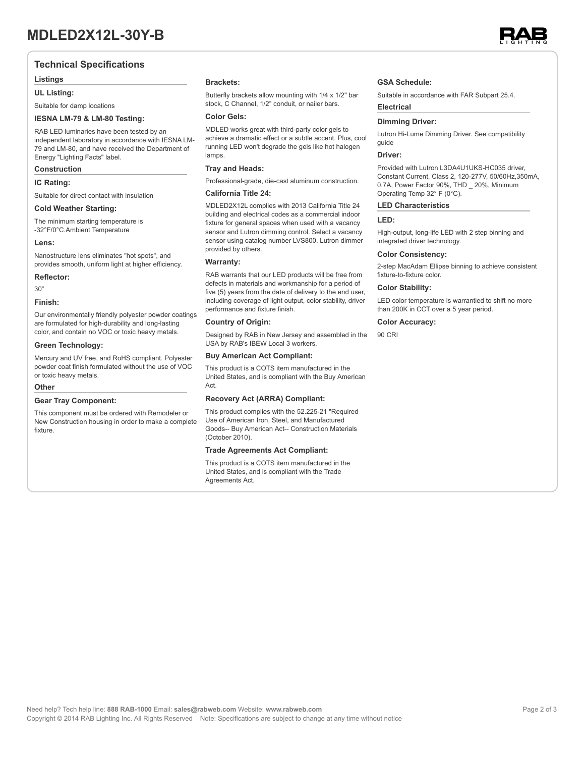### **Technical Specifications**

#### **Listings**

#### **UL Listing:**

Suitable for damp locations

#### **IESNA LM-79 & LM-80 Testing:**

RAB LED luminaries have been tested by an independent laboratory in accordance with IESNA LM-79 and LM-80, and have received the Department of Energy "Lighting Facts" label.

#### **Construction**

#### **IC Rating:**

Suitable for direct contact with insulation

#### **Cold Weather Starting:**

The minimum starting temperature is -32°F/0°C.Ambient Temperature

#### **Lens:**

Nanostructure lens eliminates "hot spots", and provides smooth, uniform light at higher efficiency.

#### **Reflector:**

30°

#### **Finish:**

Our environmentally friendly polyester powder coatings are formulated for high-durability and long-lasting color, and contain no VOC or toxic heavy metals.

#### **Green Technology:**

Mercury and UV free, and RoHS compliant. Polyester powder coat finish formulated without the use of VOC or toxic heavy metals.

#### **Other**

#### **Gear Tray Component:**

This component must be ordered with Remodeler or New Construction housing in order to make a complete fixture.

#### **Brackets:**

Butterfly brackets allow mounting with 1/4 x 1/2" bar stock, C Channel, 1/2" conduit, or nailer bars.

#### **Color Gels:**

MDLED works great with third-party color gels to achieve a dramatic effect or a subtle accent. Plus, cool running LED won't degrade the gels like hot halogen lamps

#### **Tray and Heads:**

Professional-grade, die-cast aluminum construction.

### **California Title 24:**

MDLED2X12L complies with 2013 California Title 24 building and electrical codes as a commercial indoor fixture for general spaces when used with a vacancy sensor and Lutron dimming control. Select a vacancy sensor using catalog number LVS800. Lutron dimmer provided by others.

#### **Warranty:**

RAB warrants that our LED products will be free from defects in materials and workmanship for a period of five (5) years from the date of delivery to the end user, including coverage of light output, color stability, driver performance and fixture finish.

#### **Country of Origin:**

Designed by RAB in New Jersey and assembled in the USA by RAB's IBEW Local 3 workers.

#### **Buy American Act Compliant:**

This product is a COTS item manufactured in the United States, and is compliant with the Buy American Act.

#### **Recovery Act (ARRA) Compliant:**

This product complies with the 52.225-21 "Required Use of American Iron, Steel, and Manufactured Goods-- Buy American Act-- Construction Materials (October 2010).

#### **Trade Agreements Act Compliant:**

This product is a COTS item manufactured in the United States, and is compliant with the Trade Agreements Act.

#### **GSA Schedule:**

Suitable in accordance with FAR Subpart 25.4.

## **Dimming Driver:**

Lutron Hi-Lume Dimming Driver. See compatibility guide

#### **Driver:**

**Electrical**

Provided with Lutron L3DA4U1UKS-HC035 driver, Constant Current, Class 2, 120-277V, 50/60Hz,350mA, 0.7A, Power Factor 90%, THD \_ 20%, Minimum Operating Temp 32° F (0°C).

#### **LED Characteristics**

### **LED:**

High-output, long-life LED with 2 step binning and integrated driver technology.

#### **Color Consistency:**

2-step MacAdam Ellipse binning to achieve consistent fixture-to-fixture color.

#### **Color Stability:**

LED color temperature is warrantied to shift no more than 200K in CCT over a 5 year period.

#### **Color Accuracy:**

90 CRI